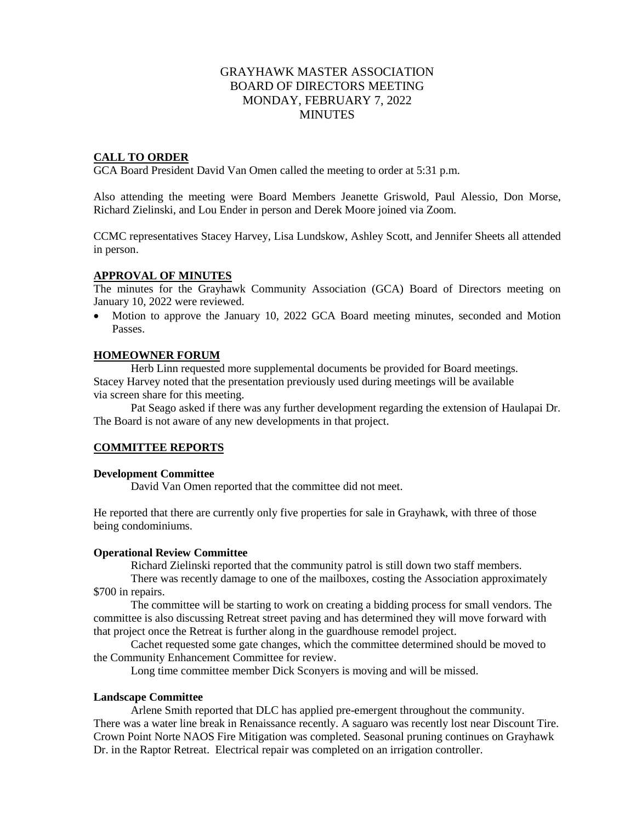# GRAYHAWK MASTER ASSOCIATION BOARD OF DIRECTORS MEETING MONDAY, FEBRUARY 7, 2022 **MINUTES**

# **CALL TO ORDER**

GCA Board President David Van Omen called the meeting to order at 5:31 p.m.

Also attending the meeting were Board Members Jeanette Griswold, Paul Alessio, Don Morse, Richard Zielinski, and Lou Ender in person and Derek Moore joined via Zoom.

CCMC representatives Stacey Harvey, Lisa Lundskow, Ashley Scott, and Jennifer Sheets all attended in person.

#### **APPROVAL OF MINUTES**

The minutes for the Grayhawk Community Association (GCA) Board of Directors meeting on January 10, 2022 were reviewed.

• Motion to approve the January 10, 2022 GCA Board meeting minutes, seconded and Motion Passes.

## **HOMEOWNER FORUM**

Herb Linn requested more supplemental documents be provided for Board meetings. Stacey Harvey noted that the presentation previously used during meetings will be available via screen share for this meeting.

Pat Seago asked if there was any further development regarding the extension of Haulapai Dr. The Board is not aware of any new developments in that project.

# **COMMITTEE REPORTS**

#### **Development Committee**

David Van Omen reported that the committee did not meet.

He reported that there are currently only five properties for sale in Grayhawk, with three of those being condominiums.

#### **Operational Review Committee**

Richard Zielinski reported that the community patrol is still down two staff members.

There was recently damage to one of the mailboxes, costing the Association approximately \$700 in repairs.

The committee will be starting to work on creating a bidding process for small vendors. The committee is also discussing Retreat street paving and has determined they will move forward with that project once the Retreat is further along in the guardhouse remodel project.

Cachet requested some gate changes, which the committee determined should be moved to the Community Enhancement Committee for review.

Long time committee member Dick Sconyers is moving and will be missed.

#### **Landscape Committee**

Arlene Smith reported that DLC has applied pre-emergent throughout the community. There was a water line break in Renaissance recently. A saguaro was recently lost near Discount Tire. Crown Point Norte NAOS Fire Mitigation was completed. Seasonal pruning continues on Grayhawk Dr. in the Raptor Retreat. Electrical repair was completed on an irrigation controller.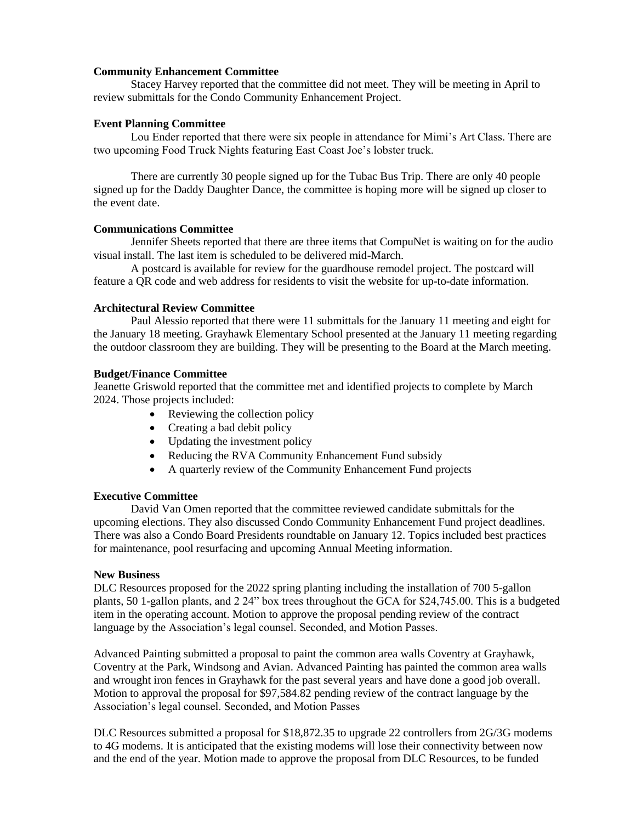### **Community Enhancement Committee**

Stacey Harvey reported that the committee did not meet. They will be meeting in April to review submittals for the Condo Community Enhancement Project.

### **Event Planning Committee**

Lou Ender reported that there were six people in attendance for Mimi's Art Class. There are two upcoming Food Truck Nights featuring East Coast Joe's lobster truck.

There are currently 30 people signed up for the Tubac Bus Trip. There are only 40 people signed up for the Daddy Daughter Dance, the committee is hoping more will be signed up closer to the event date.

## **Communications Committee**

Jennifer Sheets reported that there are three items that CompuNet is waiting on for the audio visual install. The last item is scheduled to be delivered mid-March.

A postcard is available for review for the guardhouse remodel project. The postcard will feature a QR code and web address for residents to visit the website for up-to-date information.

### **Architectural Review Committee**

Paul Alessio reported that there were 11 submittals for the January 11 meeting and eight for the January 18 meeting. Grayhawk Elementary School presented at the January 11 meeting regarding the outdoor classroom they are building. They will be presenting to the Board at the March meeting.

## **Budget/Finance Committee**

Jeanette Griswold reported that the committee met and identified projects to complete by March 2024. Those projects included:

- Reviewing the collection policy
- Creating a bad debit policy
- Updating the investment policy
- Reducing the RVA Community Enhancement Fund subsidy
- A quarterly review of the Community Enhancement Fund projects

# **Executive Committee**

David Van Omen reported that the committee reviewed candidate submittals for the upcoming elections. They also discussed Condo Community Enhancement Fund project deadlines. There was also a Condo Board Presidents roundtable on January 12. Topics included best practices for maintenance, pool resurfacing and upcoming Annual Meeting information.

#### **New Business**

DLC Resources proposed for the 2022 spring planting including the installation of 700 5-gallon plants, 50 1-gallon plants, and 2 24" box trees throughout the GCA for \$24,745.00. This is a budgeted item in the operating account. Motion to approve the proposal pending review of the contract language by the Association's legal counsel. Seconded, and Motion Passes.

Advanced Painting submitted a proposal to paint the common area walls Coventry at Grayhawk, Coventry at the Park, Windsong and Avian. Advanced Painting has painted the common area walls and wrought iron fences in Grayhawk for the past several years and have done a good job overall. Motion to approval the proposal for \$97,584.82 pending review of the contract language by the Association's legal counsel. Seconded, and Motion Passes

DLC Resources submitted a proposal for \$18,872.35 to upgrade 22 controllers from 2G/3G modems to 4G modems. It is anticipated that the existing modems will lose their connectivity between now and the end of the year. Motion made to approve the proposal from DLC Resources, to be funded